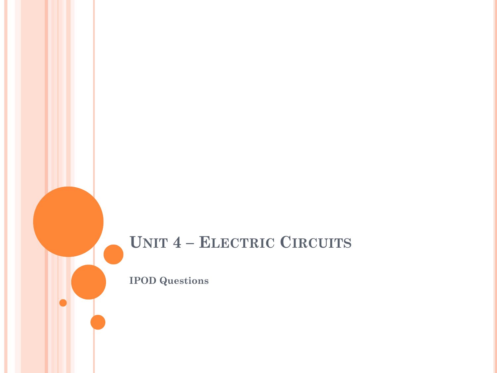#### **UNIT 4 – ELECTRIC CIRCUITS**

**IPOD Questions**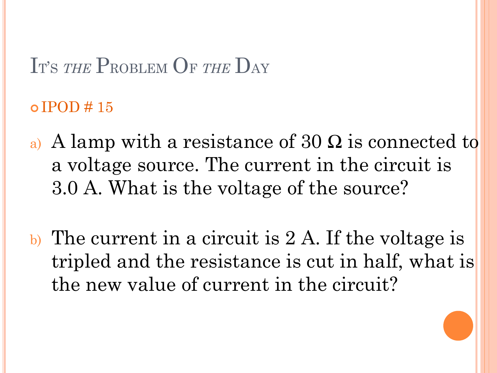$o$  IPOD  $\#$  15

- a) A lamp with a resistance of 30  $\Omega$  is connected to a voltage source. The current in the circuit is 3.0 A. What is the voltage of the source?
- b) The current in a circuit is 2 A. If the voltage is tripled and the resistance is cut in half, what is the new value of current in the circuit?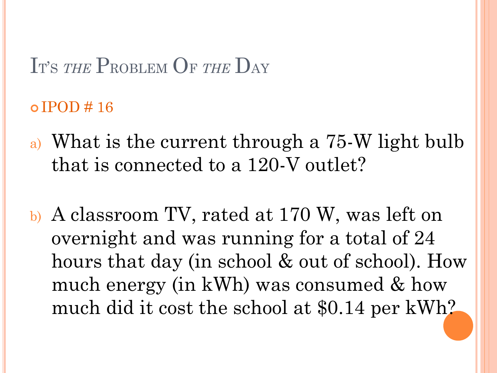$\circ$  IPOD # 16

- a) What is the current through a 75-W light bulb that is connected to a 120-V outlet?
- b) A classroom TV, rated at 170 W, was left on overnight and was running for a total of 24 hours that day (in school & out of school). How much energy (in kWh) was consumed & how much did it cost the school at \$0.14 per kWh?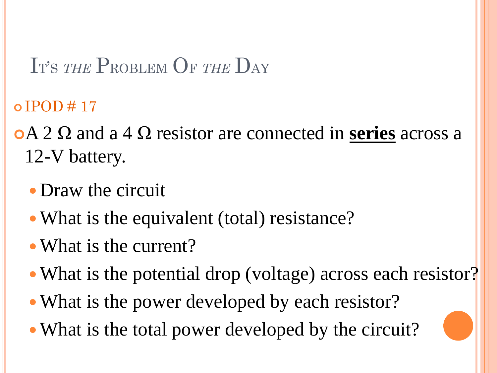$\circ$  IPOD # 17

A 2 Ω and a 4 Ω resistor are connected in **series** across a 12-V battery.

- Draw the circuit
- What is the equivalent (total) resistance?
- What is the current?
- What is the potential drop (voltage) across each resistor?
- What is the power developed by each resistor?
- What is the total power developed by the circuit?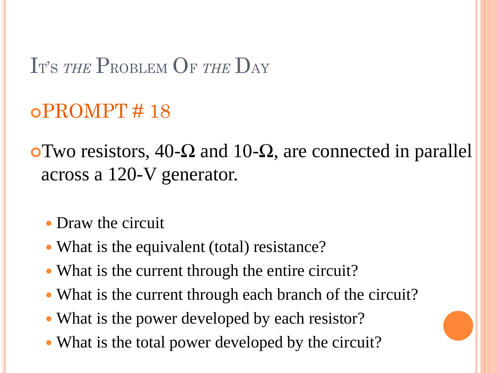$oPROMPT \# 18$ 

 $\overline{\text{O}}$  Two resistors, 40-Ω and 10-Ω, are connected in parallel across a 120-V generator.

- Draw the circuit
- What is the equivalent (total) resistance?
- What is the current through the entire circuit?
- What is the current through each branch of the circuit?
- What is the power developed by each resistor?
- What is the total power developed by the circuit?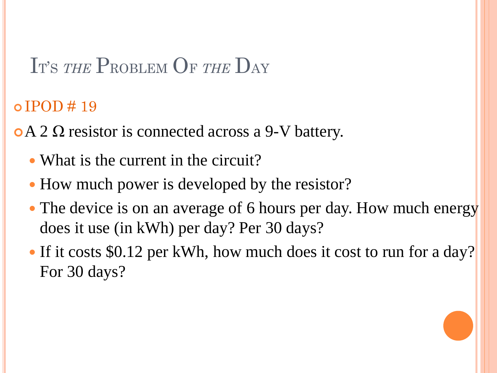$\circ$  IPOD # 19

- $\circ$  A 2  $\Omega$  resistor is connected across a 9-V battery.
	- What is the current in the circuit?
	- How much power is developed by the resistor?
	- The device is on an average of 6 hours per day. How much energy does it use (in kWh) per day? Per 30 days?
	- If it costs \$0.12 per kWh, how much does it cost to run for a day? For 30 days?